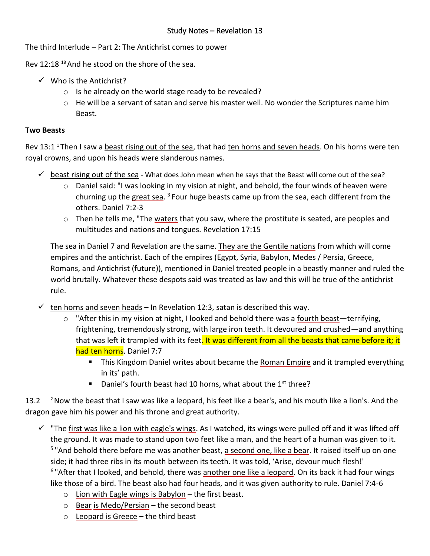The third Interlude – Part 2: The Antichrist comes to power

Rev 12:18<sup>18</sup> And he stood on the shore of the sea.

- $\checkmark$  Who is the Antichrist?
	- o Is he already on the world stage ready to be revealed?
	- o He will be a servant of satan and serve his master well. No wonder the Scriptures name him Beast.

## **Two Beasts**

Rev 13:1<sup>1</sup> Then I saw a beast rising out of the sea, that had ten horns and seven heads. On his horns were ten royal crowns, and upon his heads were slanderous names.

- $\checkmark$  beast rising out of the sea What does John mean when he says that the Beast will come out of the sea?
	- $\circ$  Daniel said: "I was looking in my vision at night, and behold, the four winds of heaven were churning up the great sea. <sup>3</sup> Four huge beasts came up from the sea, each different from the others. Daniel 7:2-3
	- o Then he tells me, "The waters that you saw, where the prostitute is seated, are peoples and multitudes and nations and tongues. Revelation 17:15

The sea in Daniel 7 and Revelation are the same. They are the Gentile nations from which will come empires and the antichrist. Each of the empires (Egypt, Syria, Babylon, Medes / Persia, Greece, Romans, and Antichrist (future)), mentioned in Daniel treated people in a beastly manner and ruled the world brutally. Whatever these despots said was treated as law and this will be true of the antichrist rule.

- $\checkmark$  ten horns and seven heads In Revelation 12:3, satan is described this way.
	- $\circ$  "After this in my vision at night, I looked and behold there was a fourth beast—terrifying, frightening, tremendously strong, with large iron teeth. It devoured and crushed—and anything that was left it trampled with its feet. It was different from all the beasts that came before it; it had ten horns. Daniel 7:7
		- **This Kingdom Daniel writes about became the Roman Empire and it trampled everything** in its' path.
		- **•** Daniel's fourth beast had 10 horns, what about the  $1<sup>st</sup>$  three?

13.2  $\lambda$  2Now the beast that I saw was like a leopard, his feet like a bear's, and his mouth like a lion's. And the dragon gave him his power and his throne and great authority.

- $\checkmark$  "The first was like a lion with eagle's wings. As I watched, its wings were pulled off and it was lifted off the ground. It was made to stand upon two feet like a man, and the heart of a human was given to it. <sup>5</sup> "And behold there before me was another beast, a second one, like a bear. It raised itself up on one side; it had three ribs in its mouth between its teeth. It was told, 'Arise, devour much flesh!'  $6"$ After that I looked, and behold, there was another one like a leopard. On its back it had four wings like those of a bird. The beast also had four heads, and it was given authority to rule. Daniel 7:4-6
	- $\circ$  Lion with Eagle wings is Babylon the first beast.
	- $\circ$  Bear is Medo/Persian the second beast
	- $\circ$  Leopard is Greece the third beast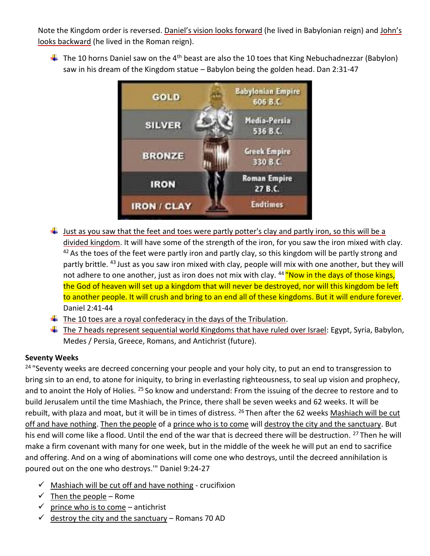Note the Kingdom order is reversed. Daniel's vision looks forward (he lived in Babylonian reign) and John's looks backward (he lived in the Roman reign).

 $\ddot{+}$  The 10 horns Daniel saw on the 4<sup>th</sup> beast are also the 10 toes that King Nebuchadnezzar (Babylon) saw in his dream of the Kingdom statue – Babylon being the golden head. Dan 2:31-47



- $\downarrow$  Just as you saw that the feet and toes were partly potter's clay and partly iron, so this will be a divided kingdom. It will have some of the strength of the iron, for you saw the iron mixed with clay. <sup>42</sup> As the toes of the feet were partly iron and partly clay, so this kingdom will be partly strong and partly brittle. <sup>43</sup> Just as you saw iron mixed with clay, people will mix with one another, but they will not adhere to one another, just as iron does not mix with clay. <sup>44</sup> "Now in the days of those kings, the God of heaven will set up a kingdom that will never be destroyed, nor will this kingdom be left to another people. It will crush and bring to an end all of these kingdoms. But it will endure forever. Daniel 2:41-44
- $\ddot{\phantom{1}}$  The 10 toes are a royal confederacy in the days of the Tribulation.
- $\ddot{\phantom{1}}$  The 7 heads represent sequential world Kingdoms that have ruled over Israel: Egypt, Syria, Babylon, Medes / Persia, Greece, Romans, and Antichrist (future).

## **Seventy Weeks**

<sup>24</sup> "Seventy weeks are decreed concerning your people and your holy city, to put an end to transgression to bring sin to an end, to atone for iniquity, to bring in everlasting righteousness, to seal up vision and prophecy, and to anoint the Holy of Holies. <sup>25</sup> So know and understand: From the issuing of the decree to restore and to build Jerusalem until the time Mashiach, the Prince, there shall be seven weeks and 62 weeks. It will be rebuilt, with plaza and moat, but it will be in times of distress. <sup>26</sup> Then after the 62 weeks Mashiach will be cut off and have nothing. Then the people of a prince who is to come will destroy the city and the sanctuary. But his end will come like a flood. Until the end of the war that is decreed there will be destruction. <sup>27</sup> Then he will make a firm covenant with many for one week, but in the middle of the week he will put an end to sacrifice and offering. And on a wing of abominations will come one who destroys, until the decreed annihilation is poured out on the one who destroys.'" Daniel 9:24-27

- $\checkmark$  Mashiach will be cut off and have nothing crucifixion
- $\checkmark$  Then the people Rome
- $\checkmark$  prince who is to come antichrist
- $\checkmark$  destroy the city and the sanctuary Romans 70 AD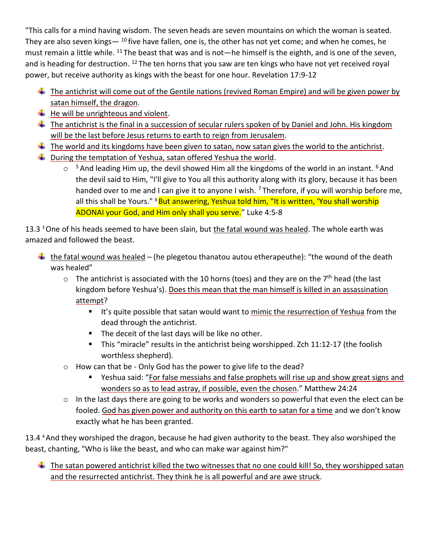"This calls for a mind having wisdom. The seven heads are seven mountains on which the woman is seated. They are also seven kings  $-10$  five have fallen, one is, the other has not yet come; and when he comes, he must remain a little while.  $^{11}$  The beast that was and is not—he himself is the eighth, and is one of the seven, and is heading for destruction.  $12$  The ten horns that you saw are ten kings who have not yet received royal power, but receive authority as kings with the beast for one hour. Revelation 17:9-12

- $\ddot{\phantom{1}}$  The antichrist will come out of the Gentile nations (revived Roman Empire) and will be given power by satan himself, the dragon.
- $\bigstar$  He will be unrighteous and violent.
- $\ddot{\phantom{1}}$  The antichrist is the final in a succession of secular rulers spoken of by Daniel and John. His kingdom will be the last before Jesus returns to earth to reign from Jerusalem.
- $\ddot{+}$  The world and its kingdoms have been given to satan, now satan gives the world to the antichrist.
- $\downarrow$  During the temptation of Yeshua, satan offered Yeshua the world.
	- $\circ$ <sup>5</sup> And leading Him up, the devil showed Him all the kingdoms of the world in an instant. <sup>6</sup> And the devil said to Him, "I'll give to You all this authority along with its glory, because it has been handed over to me and I can give it to anyone I wish.  $<sup>7</sup>$  Therefore, if you will worship before me,</sup> all this shall be Yours." <sup>8</sup>But answering, Yeshua told him, "It is written, 'You shall worship ADONAI your God, and Him only shall you serve." Luke 4:5-8

13.3<sup>3</sup> One of his heads seemed to have been slain, but the fatal wound was healed. The whole earth was amazed and followed the beast.

- $\frac{1}{2}$  the fatal wound was healed (he plegetou thanatou autou etherapeuthe): "the wound of the death was healed"
	- $\circ$  The antichrist is associated with the 10 horns (toes) and they are on the 7<sup>th</sup> head (the last kingdom before Yeshua's). Does this mean that the man himself is killed in an assassination attempt?
		- **EXECT** It's quite possible that satan would want to mimic the resurrection of Yeshua from the dead through the antichrist.
		- The deceit of the last days will be like no other.
		- This "miracle" results in the antichrist being worshipped. Zch 11:12-17 (the foolish worthless shepherd).
	- o How can that be Only God has the power to give life to the dead?
		- Yeshua said: "For false messiahs and false prophets will rise up and show great signs and wonders so as to lead astray, if possible, even the chosen." Matthew 24:24
	- o In the last days there are going to be works and wonders so powerful that even the elect can be fooled. God has given power and authority on this earth to satan for a time and we don't know exactly what he has been granted.

13.4 <sup>4</sup> And they worshiped the dragon, because he had given authority to the beast. They also worshiped the beast, chanting, "Who is like the beast, and who can make war against him?"

 $\ddot{\phantom{1}}$  The satan powered antichrist killed the two witnesses that no one could kill! So, they worshipped satan and the resurrected antichrist. They think he is all powerful and are awe struck.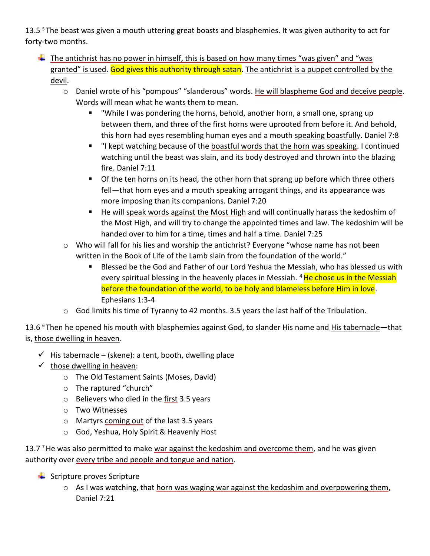13.5<sup>5</sup>The beast was given a mouth uttering great boasts and blasphemies. It was given authority to act for forty-two months.

- $\ddot{\phantom{1}}$  The antichrist has no power in himself, this is based on how many times "was given" and "was granted" is used. God gives this authority through satan. The antichrist is a puppet controlled by the devil.
	- o Daniel wrote of his "pompous" "slanderous" words. He will blaspheme God and deceive people. Words will mean what he wants them to mean.
		- "While I was pondering the horns, behold, another horn, a small one, sprang up between them, and three of the first horns were uprooted from before it. And behold, this horn had eyes resembling human eyes and a mouth speaking boastfully. Daniel 7:8
		- "I kept watching because of the boastful words that the horn was speaking. I continued watching until the beast was slain, and its body destroyed and thrown into the blazing fire. Daniel 7:11
		- **•** Of the ten horns on its head, the other horn that sprang up before which three others fell—that horn eyes and a mouth speaking arrogant things, and its appearance was more imposing than its companions. Daniel 7:20
		- He will speak words against the Most High and will continually harass the kedoshim of the Most High, and will try to change the appointed times and law. The kedoshim will be handed over to him for a time, times and half a time. Daniel 7:25
	- $\circ$  Who will fall for his lies and worship the antichrist? Everyone "whose name has not been written in the Book of Life of the Lamb slain from the foundation of the world."
		- Blessed be the God and Father of our Lord Yeshua the Messiah, who has blessed us with every spiritual blessing in the heavenly places in Messiah.<sup>4</sup> He chose us in the Messiah before the foundation of the world, to be holy and blameless before Him in love. Ephesians 1:3-4
	- $\circ$  God limits his time of Tyranny to 42 months. 3.5 years the last half of the Tribulation.

13.6 <sup>6</sup>Then he opened his mouth with blasphemies against God, to slander His name and **His tabernacle**—that is, those dwelling in heaven.

- $\checkmark$  His tabernacle (skene): a tent, booth, dwelling place
- $\checkmark$  those dwelling in heaven:
	- o The Old Testament Saints (Moses, David)
	- o The raptured "church"
	- $\circ$  Believers who died in the first 3.5 years
	- o Two Witnesses
	- o Martyrs coming out of the last 3.5 years
	- o God, Yeshua, Holy Spirit & Heavenly Host

13.7 <sup>7</sup> He was also permitted to make war against the kedoshim and overcome them, and he was given authority over every tribe and people and tongue and nation.

- $\frac{1}{\sqrt{2}}$  Scripture proves Scripture
	- $\circ$  As I was watching, that horn was waging war against the kedoshim and overpowering them, Daniel 7:21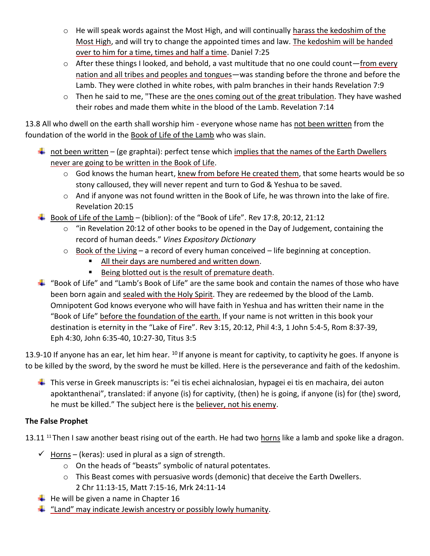- o He will speak words against the Most High, and will continually harass the kedoshim of the Most High, and will try to change the appointed times and law. The kedoshim will be handed over to him for a time, times and half a time. Daniel 7:25
- $\circ$  After these things I looked, and behold, a vast multitude that no one could count—from every nation and all tribes and peoples and tongues—was standing before the throne and before the Lamb. They were clothed in white robes, with palm branches in their hands Revelation 7:9
- o Then he said to me, "These are the ones coming out of the great tribulation. They have washed their robes and made them white in the blood of the Lamb. Revelation 7:14

13.8 All who dwell on the earth shall worship him - everyone whose name has not been written from the foundation of the world in the Book of Life of the Lamb who was slain.

- not been written (ge graphtai): perfect tense which implies that the names of the Earth Dwellers never are going to be written in the Book of Life.
	- o God knows the human heart, knew from before He created them, that some hearts would be so stony calloused, they will never repent and turn to God & Yeshua to be saved.
	- o And if anyone was not found written in the Book of Life, he was thrown into the lake of fire. Revelation 20:15
- $\ddot{+}$  Book of Life of the Lamb (biblion): of the "Book of Life". Rev 17:8, 20:12, 21:12
	- $\circ$  "in Revelation 20:12 of other books to be opened in the Day of Judgement, containing the record of human deeds." *Vines Expository Dictionary*
	- $\circ$  Book of the Living a record of every human conceived life beginning at conception.
		- All their days are numbered and written down.
		- Being blotted out is the result of premature death.
- $\frac{1}{2}$  "Book of Life" and "Lamb's Book of Life" are the same book and contain the names of those who have been born again and sealed with the Holy Spirit. They are redeemed by the blood of the Lamb. Omnipotent God knows everyone who will have faith in Yeshua and has written their name in the "Book of Life" before the foundation of the earth. If your name is not written in this book your destination is eternity in the "Lake of Fire". Rev 3:15, 20:12, Phil 4:3, 1 John 5:4-5, Rom 8:37-39, Eph 4:30, John 6:35-40, 10:27-30, Titus 3:5

13.9-10 If anyone has an ear, let him hear.  $^{10}$  If anyone is meant for captivity, to captivity he goes. If anyone is to be killed by the sword, by the sword he must be killed. Here is the perseverance and faith of the kedoshim.

This verse in Greek manuscripts is: "ei tis echei aichnalosian, hypagei ei tis en machaira, dei auton apoktanthenai", translated: if anyone (is) for captivity, (then) he is going, if anyone (is) for (the) sword, he must be killed." The subject here is the believer, not his enemy.

## **The False Prophet**

13.11<sup>11</sup> Then I saw another beast rising out of the earth. He had two horns like a lamb and spoke like a dragon.

- $\checkmark$  Horns (keras): used in plural as a sign of strength.
	- o On the heads of "beasts" symbolic of natural potentates.
	- o This Beast comes with persuasive words (demonic) that deceive the Earth Dwellers. 2 Chr 11:13-15, Matt 7:15-16, Mrk 24:11-14
- $\downarrow$  He will be given a name in Chapter 16
- $\frac{4}{10}$  "Land" may indicate Jewish ancestry or possibly lowly humanity.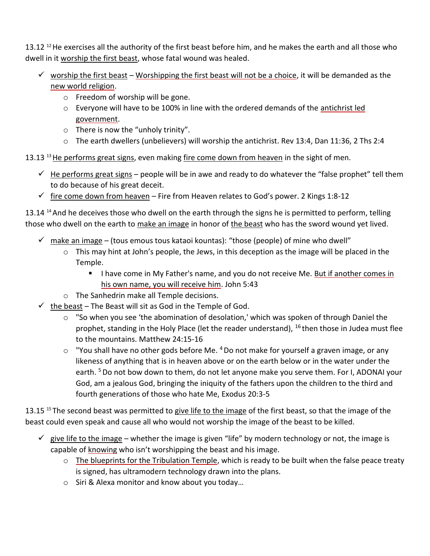13.12  $^{12}$  He exercises all the authority of the first beast before him, and he makes the earth and all those who dwell in it worship the first beast, whose fatal wound was healed.

- $\checkmark$  worship the first beast Worshipping the first beast will not be a choice, it will be demanded as the new world religion.
	- o Freedom of worship will be gone.
	- o Everyone will have to be 100% in line with the ordered demands of the antichrist led government.
	- o There is now the "unholy trinity".
	- o The earth dwellers (unbelievers) will worship the antichrist. Rev 13:4, Dan 11:36, 2 Ths 2:4

13.13<sup>13</sup> He performs great signs, even making fire come down from heaven in the sight of men.

- $\checkmark$  He performs great signs people will be in awe and ready to do whatever the "false prophet" tell them to do because of his great deceit.
- $\checkmark$  fire come down from heaven Fire from Heaven relates to God's power. 2 Kings 1:8-12

13.14 <sup>14</sup> And he deceives those who dwell on the earth through the signs he is permitted to perform, telling those who dwell on the earth to make an image in honor of the beast who has the sword wound yet lived.

- $\checkmark$  make an image (tous emous tous kataoi kountas): "those (people) of mine who dwell"
	- $\circ$  This may hint at John's people, the Jews, in this deception as the image will be placed in the Temple.
		- I have come in My Father's name, and you do not receive Me. But if another comes in his own name, you will receive him. John 5:43
	- o The Sanhedrin make all Temple decisions.
- $\checkmark$  the beast The Beast will sit as God in the Temple of God.
	- $\circ$  "So when you see 'the abomination of desolation,' which was spoken of through Daniel the prophet, standing in the Holy Place (let the reader understand),  $16$  then those in Judea must flee to the mountains. Matthew 24:15-16
	- $\circ$  "You shall have no other gods before Me.  $4$  Do not make for yourself a graven image, or any likeness of anything that is in heaven above or on the earth below or in the water under the earth. <sup>5</sup> Do not bow down to them, do not let anyone make you serve them. For I, ADONAI your God, am a jealous God, bringing the iniquity of the fathers upon the children to the third and fourth generations of those who hate Me, Exodus 20:3-5

13.15 <sup>15</sup> The second beast was permitted to give life to the image of the first beast, so that the image of the beast could even speak and cause all who would not worship the image of the beast to be killed.

- $\checkmark$  give life to the image whether the image is given "life" by modern technology or not, the image is capable of knowing who isn't worshipping the beast and his image.
	- $\circ$  The blueprints for the Tribulation Temple, which is ready to be built when the false peace treaty is signed, has ultramodern technology drawn into the plans.
	- o Siri & Alexa monitor and know about you today…